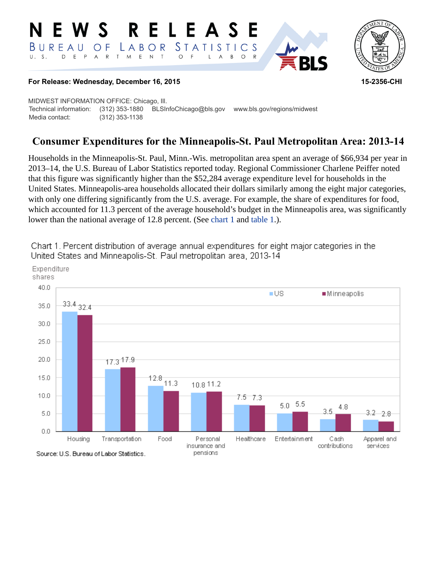#### **RELEASE** W S E. *STATISTICS* BUREAU  $\overline{O}$  F LABOR D E P A R T M E N T  $\circ$  $U. S.$  $\overline{F}$  $\mathsf{L}$  $\overline{\mathsf{A}}$  $B$  $\circ$



## **For Release: Wednesday, December 16, 2015 15-2356-CHI**

MIDWEST INFORMATION OFFICE: Chicago, Ill. Technical information: (312) 353-1880 BLSInfoChicago@bls.gov www.bls.gov/regions/midwest Media contact: (312) 353-1138

# **Consumer Expenditures for the Minneapolis-St. Paul Metropolitan Area: 2013-14**

Households in the Minneapolis-St. Paul, Minn.-Wis. metropolitan area spent an average of \$66,934 per year in 2013–14, the U.S. Bureau of Labor Statistics reported today. Regional Commissioner Charlene Peiffer noted that this figure was significantly higher than the \$52,284 average expenditure level for households in the United States. Minneapolis-area households allocated their dollars similarly among the eight major categories, with only one differing significantly from the U.S. average. For example, the share of expenditures for food, which accounted for 11.3 percent of the average household's budget in the Minneapolis area, was significantly lower than the national average of 12.8 percent. (See [chart 1](#page-0-0) and [table 1](#page-3-0).).



<span id="page-0-0"></span>Chart 1. Percent distribution of average annual expenditures for eight major categories in the United States and Minneapolis-St. Paul metropolitan area, 2013-14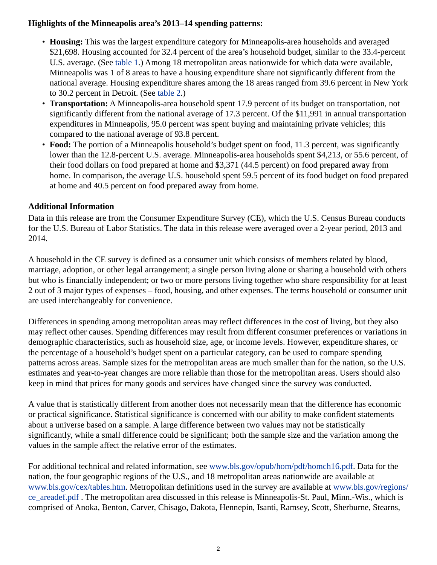## **Highlights of the Minneapolis area's 2013–14 spending patterns:**

- **Housing:** This was the largest expenditure category for Minneapolis-area households and averaged \$21,698. Housing accounted for 32.4 percent of the area's household budget, similar to the 33.4-percent U.S. average. (See [table 1.](#page-3-0)) Among 18 metropolitan areas nationwide for which data were available, Minneapolis was 1 of 8 areas to have a housing expenditure share not significantly different from the national average. Housing expenditure shares among the 18 areas ranged from 39.6 percent in New York to 30.2 percent in Detroit. (See [table 2](#page-4-0).)
- **Transportation:** A Minneapolis-area household spent 17.9 percent of its budget on transportation, not significantly different from the national average of 17.3 percent. Of the \$11,991 in annual transportation expenditures in Minneapolis, 95.0 percent was spent buying and maintaining private vehicles; this compared to the national average of 93.8 percent.
- **Food:** The portion of a Minneapolis household's budget spent on food, 11.3 percent, was significantly lower than the 12.8-percent U.S. average. Minneapolis-area households spent \$4,213, or 55.6 percent, of their food dollars on food prepared at home and \$3,371 (44.5 percent) on food prepared away from home. In comparison, the average U.S. household spent 59.5 percent of its food budget on food prepared at home and 40.5 percent on food prepared away from home.

## **Additional Information**

Data in this release are from the Consumer Expenditure Survey (CE), which the U.S. Census Bureau conducts for the U.S. Bureau of Labor Statistics. The data in this release were averaged over a 2-year period, 2013 and 2014.

A household in the CE survey is defined as a consumer unit which consists of members related by blood, marriage, adoption, or other legal arrangement; a single person living alone or sharing a household with others but who is financially independent; or two or more persons living together who share responsibility for at least 2 out of 3 major types of expenses – food, housing, and other expenses. The terms household or consumer unit are used interchangeably for convenience.

Differences in spending among metropolitan areas may reflect differences in the cost of living, but they also may reflect other causes. Spending differences may result from different consumer preferences or variations in demographic characteristics, such as household size, age, or income levels. However, expenditure shares, or the percentage of a household's budget spent on a particular category, can be used to compare spending patterns across areas. Sample sizes for the metropolitan areas are much smaller than for the nation, so the U.S. estimates and year-to-year changes are more reliable than those for the metropolitan areas. Users should also keep in mind that prices for many goods and services have changed since the survey was conducted.

A value that is statistically different from another does not necessarily mean that the difference has economic or practical significance. Statistical significance is concerned with our ability to make confident statements about a universe based on a sample. A large difference between two values may not be statistically significantly, while a small difference could be significant; both the sample size and the variation among the values in the sample affect the relative error of the estimates.

For additional technical and related information, see [www.bls.gov/opub/hom/pdf/homch16.pdf.](https://www.bls.gov/opub/hom/pdf/homch16.pdf) Data for the nation, the four geographic regions of the U.S., and 18 metropolitan areas nationwide are available at [www.bls.gov/cex/tables.htm.](https://www.bls.gov/cex/tables.htm) Metropolitan definitions used in the survey are available at [www.bls.gov/regions/](https://www.bls.gov/regions/ce_areadef.pdf) [ce\\_areadef.pdf](https://www.bls.gov/regions/ce_areadef.pdf) . The metropolitan area discussed in this release is Minneapolis-St. Paul, Minn.-Wis., which is comprised of Anoka, Benton, Carver, Chisago, Dakota, Hennepin, Isanti, Ramsey, Scott, Sherburne, Stearns,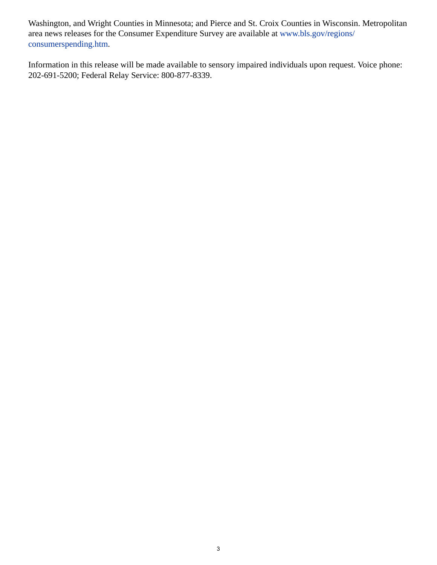Washington, and Wright Counties in Minnesota; and Pierce and St. Croix Counties in Wisconsin. Metropolitan area news releases for the Consumer Expenditure Survey are available at [www.bls.gov/regions/](https://www.bls.gov/regions/consumerspending.htm) [consumerspending.htm](https://www.bls.gov/regions/consumerspending.htm).

Information in this release will be made available to sensory impaired individuals upon request. Voice phone: 202-691-5200; Federal Relay Service: 800-877-8339.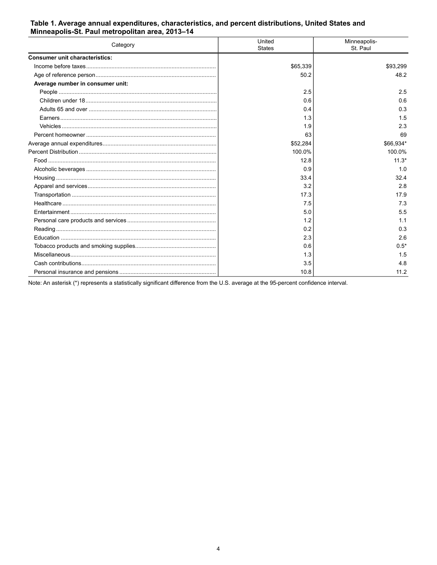### <span id="page-3-0"></span>Table 1. Average annual expenditures, characteristics, and percent distributions, United States and Minneapolis-St. Paul metropolitan area, 2013-14

| Category                              | United<br><b>States</b> | Minneapolis-<br>St. Paul |
|---------------------------------------|-------------------------|--------------------------|
| <b>Consumer unit characteristics:</b> |                         |                          |
|                                       | \$65,339                | \$93,299                 |
|                                       | 50.2                    | 48.2                     |
| Average number in consumer unit:      |                         |                          |
|                                       | 2.5                     | 2.5                      |
|                                       | 0.6                     | 0.6                      |
|                                       | 0.4                     | 0.3                      |
|                                       | 1.3                     | 1.5                      |
|                                       | 1.9                     | 2.3                      |
|                                       | 63                      | 69                       |
|                                       | \$52,284                | \$66,934*                |
|                                       | 100.0%                  | 100.0%                   |
|                                       | 12.8                    | $11.3*$                  |
|                                       | 0.9                     | 1.0                      |
|                                       | 33.4                    | 32.4                     |
|                                       | 3.2                     | 2.8                      |
|                                       | 17.3                    | 17.9                     |
|                                       | 7.5                     | 7.3                      |
|                                       | 5.0                     | 5.5                      |
|                                       | 1.2                     | 1.1                      |
|                                       | 0.2                     | 0.3                      |
|                                       | 2.3                     | 2.6                      |
|                                       | 0.6                     | $0.5*$                   |
|                                       | 1.3                     | 1.5                      |
|                                       | 3.5                     | 4.8                      |
|                                       | 10.8                    | 11.2                     |

Note: An asterisk (\*) represents a statistically significant difference from the U.S. average at the 95-percent confidence interval.